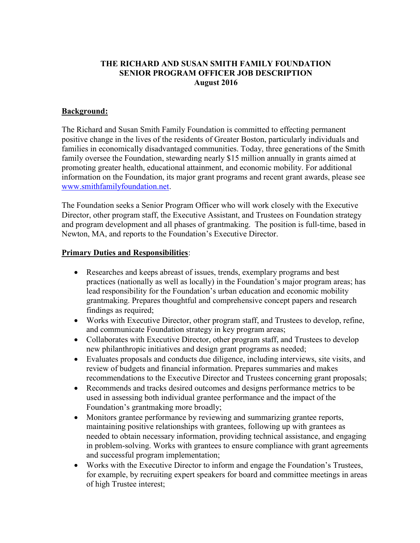## THE RICHARD AND SUSAN SMITH FAMILY FOUNDATION SENIOR PROGRAM OFFICER JOB DESCRIPTION August 2016

## Background:

The Richard and Susan Smith Family Foundation is committed to effecting permanent positive change in the lives of the residents of Greater Boston, particularly individuals and families in economically disadvantaged communities. Today, three generations of the Smith family oversee the Foundation, stewarding nearly \$15 million annually in grants aimed at promoting greater health, educational attainment, and economic mobility. For additional information on the Foundation, its major grant programs and recent grant awards, please see www.smithfamilyfoundation.net.

The Foundation seeks a Senior Program Officer who will work closely with the Executive Director, other program staff, the Executive Assistant, and Trustees on Foundation strategy and program development and all phases of grantmaking. The position is full-time, based in Newton, MA, and reports to the Foundation's Executive Director.

## Primary Duties and Responsibilities:

- Researches and keeps abreast of issues, trends, exemplary programs and best practices (nationally as well as locally) in the Foundation's major program areas; has lead responsibility for the Foundation's urban education and economic mobility grantmaking. Prepares thoughtful and comprehensive concept papers and research findings as required;
- Works with Executive Director, other program staff, and Trustees to develop, refine, and communicate Foundation strategy in key program areas;
- Collaborates with Executive Director, other program staff, and Trustees to develop new philanthropic initiatives and design grant programs as needed;
- Evaluates proposals and conducts due diligence, including interviews, site visits, and review of budgets and financial information. Prepares summaries and makes recommendations to the Executive Director and Trustees concerning grant proposals;
- Recommends and tracks desired outcomes and designs performance metrics to be used in assessing both individual grantee performance and the impact of the Foundation's grantmaking more broadly;
- Monitors grantee performance by reviewing and summarizing grantee reports, maintaining positive relationships with grantees, following up with grantees as needed to obtain necessary information, providing technical assistance, and engaging in problem-solving. Works with grantees to ensure compliance with grant agreements and successful program implementation;
- Works with the Executive Director to inform and engage the Foundation's Trustees, for example, by recruiting expert speakers for board and committee meetings in areas of high Trustee interest;